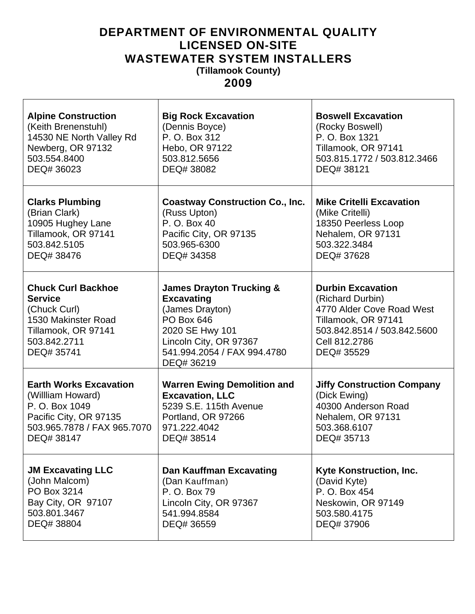## **DEPARTMENT OF ENVIRONMENTAL QUALITY LICENSED ON-SITE WASTEWATER SYSTEM INSTALLERS (Tillamook County)**

**2009** 

| <b>Alpine Construction</b>                                                                                                              | <b>Big Rock Excavation</b>                                                                                                                                                                 | <b>Boswell Excavation</b>                                                                                                                                      |
|-----------------------------------------------------------------------------------------------------------------------------------------|--------------------------------------------------------------------------------------------------------------------------------------------------------------------------------------------|----------------------------------------------------------------------------------------------------------------------------------------------------------------|
| (Keith Brenenstuhl)                                                                                                                     | (Dennis Boyce)                                                                                                                                                                             | (Rocky Boswell)                                                                                                                                                |
| 14530 NE North Valley Rd                                                                                                                | P. O. Box 312                                                                                                                                                                              | P. O. Box 1321                                                                                                                                                 |
| Newberg, OR 97132                                                                                                                       | Hebo, OR 97122                                                                                                                                                                             | Tillamook, OR 97141                                                                                                                                            |
| 503.554.8400                                                                                                                            | 503.812.5656                                                                                                                                                                               | 503.815.1772 / 503.812.3466                                                                                                                                    |
| DEQ# 36023                                                                                                                              | DEQ# 38082                                                                                                                                                                                 | DEQ# 38121                                                                                                                                                     |
| <b>Clarks Plumbing</b>                                                                                                                  | <b>Coastway Construction Co., Inc.</b>                                                                                                                                                     | <b>Mike Critelli Excavation</b>                                                                                                                                |
| (Brian Clark)                                                                                                                           | (Russ Upton)                                                                                                                                                                               | (Mike Critelli)                                                                                                                                                |
| 10905 Hughey Lane                                                                                                                       | P. O. Box 40                                                                                                                                                                               | 18350 Peerless Loop                                                                                                                                            |
| Tillamook, OR 97141                                                                                                                     | Pacific City, OR 97135                                                                                                                                                                     | Nehalem, OR 97131                                                                                                                                              |
| 503.842.5105                                                                                                                            | 503.965-6300                                                                                                                                                                               | 503.322.3484                                                                                                                                                   |
| DEQ# 38476                                                                                                                              | DEQ# 34358                                                                                                                                                                                 | DEQ# 37628                                                                                                                                                     |
| <b>Chuck Curl Backhoe</b><br><b>Service</b><br>(Chuck Curl)<br>1530 Makinster Road<br>Tillamook, OR 97141<br>503.842.2711<br>DEQ# 35741 | <b>James Drayton Trucking &amp;</b><br><b>Excavating</b><br>(James Drayton)<br><b>PO Box 646</b><br>2020 SE Hwy 101<br>Lincoln City, OR 97367<br>541.994.2054 / FAX 994.4780<br>DEQ# 36219 | <b>Durbin Excavation</b><br>(Richard Durbin)<br>4770 Alder Cove Road West<br>Tillamook, OR 97141<br>503.842.8514 / 503.842.5600<br>Cell 812,2786<br>DEQ# 35529 |
| <b>Earth Works Excavation</b>                                                                                                           | <b>Warren Ewing Demolition and</b>                                                                                                                                                         | <b>Jiffy Construction Company</b>                                                                                                                              |
| (Willliam Howard)                                                                                                                       | <b>Excavation, LLC</b>                                                                                                                                                                     | (Dick Ewing)                                                                                                                                                   |
| P. O. Box 1049                                                                                                                          | 5239 S.E. 115th Avenue                                                                                                                                                                     | 40300 Anderson Road                                                                                                                                            |
| Pacific City, OR 97135                                                                                                                  | Portland, OR 97266                                                                                                                                                                         | Nehalem, OR 97131                                                                                                                                              |
| 503.965.7878 / FAX 965.7070                                                                                                             | 971.222.4042                                                                                                                                                                               | 503.368.6107                                                                                                                                                   |
| DEQ# 38147                                                                                                                              | DEQ# 38514                                                                                                                                                                                 | DEQ# 35713                                                                                                                                                     |
| <b>JM Excavating LLC</b>                                                                                                                | <b>Dan Kauffman Excavating</b>                                                                                                                                                             | Kyte Konstruction, Inc.                                                                                                                                        |
| (John Malcom)                                                                                                                           | (Dan Kauffman)                                                                                                                                                                             | (David Kyte)                                                                                                                                                   |
| PO Box 3214                                                                                                                             | P. O. Box 79                                                                                                                                                                               | P. O. Box 454                                                                                                                                                  |
| Bay City, OR 97107                                                                                                                      | Lincoln City, OR 97367                                                                                                                                                                     | Neskowin, OR 97149                                                                                                                                             |
| 503.801.3467                                                                                                                            | 541.994.8584                                                                                                                                                                               | 503.580.4175                                                                                                                                                   |
| DEQ# 38804                                                                                                                              | DEQ# 36559                                                                                                                                                                                 | DEQ# 37906                                                                                                                                                     |